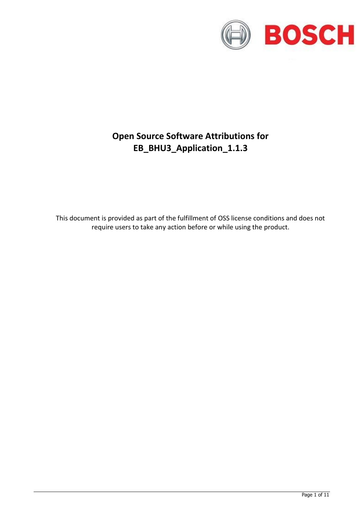

# **Open Source Software Attributions for EB\_BHU3\_Application\_1.1.3**

This document is provided as part of the fulfillment of OSS license conditions and does not require users to take any action before or while using the product.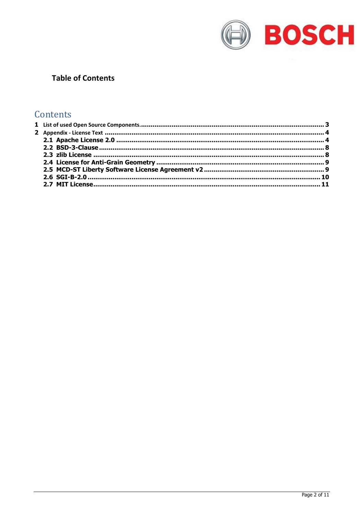

# **Table of Contents**

# Contents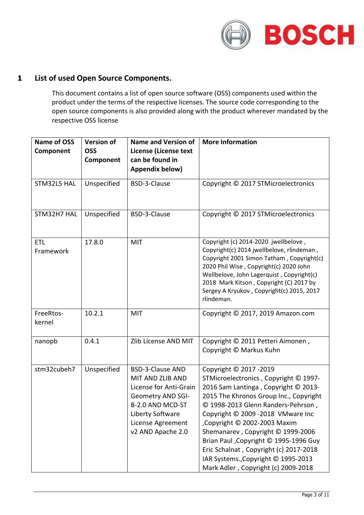

# <span id="page-2-0"></span>**1 List of used Open Source Components.**

This document contains a list of open source software (OSS) components used within the product under the terms of the respective licenses. The source code corresponding to the open source components is also provided along with the product wherever mandated by the respective OSS license

| Name of OSS<br>Component | <b>Version of</b><br><b>OSS</b><br>Component | <b>Name and Version of</b><br><b>License (License text</b><br>can be found in<br>Appendix below)                                                                                    | <b>More Information</b>                                                                                                                                                                                                                                                                                                                                                                                                                                             |
|--------------------------|----------------------------------------------|-------------------------------------------------------------------------------------------------------------------------------------------------------------------------------------|---------------------------------------------------------------------------------------------------------------------------------------------------------------------------------------------------------------------------------------------------------------------------------------------------------------------------------------------------------------------------------------------------------------------------------------------------------------------|
| STM32L5 HAL              | Unspecified                                  | BSD-3-Clause                                                                                                                                                                        | Copyright © 2017 STMicroelectronics                                                                                                                                                                                                                                                                                                                                                                                                                                 |
| STM32H7 HAL              | Unspecified                                  | BSD-3-Clause                                                                                                                                                                        | Copyright © 2017 STMicroelectronics                                                                                                                                                                                                                                                                                                                                                                                                                                 |
| <b>ETL</b><br>Framework  | 17.8.0                                       | MIT                                                                                                                                                                                 | Copyright (c) 2014-2020 jwellbelove,<br>Copyright(c) 2014 jwellbelove, rlindeman,<br>Copyright 2001 Simon Tatham, Copyright(c)<br>2020 Phil Wise, Copyright(c) 2020 John<br>Wellbelove, John Lagerquist, Copyright(c)<br>2018 Mark Kitson, Copyright (C) 2017 by<br>Sergey A Kryukov, Copyright(c) 2015, 2017<br>rlindeman.                                                                                                                                         |
| FreeRtos-<br>kernel      | 10.2.1                                       | <b>MIT</b>                                                                                                                                                                          | Copyright © 2017, 2019 Amazon.com                                                                                                                                                                                                                                                                                                                                                                                                                                   |
| nanopb                   | 0.4.1                                        | Zlib License AND MIT                                                                                                                                                                | Copyright © 2011 Petteri Aimonen,<br>Copyright © Markus Kuhn                                                                                                                                                                                                                                                                                                                                                                                                        |
| stm32cubeh7              | Unspecified                                  | <b>BSD-3-Clause AND</b><br>MIT AND ZLIB AND<br>License for Anti-Grain<br><b>Geometry AND SGI-</b><br>B-2.0 AND MCD-ST<br>Liberty Software<br>License Agreement<br>v2 AND Apache 2.0 | Copyright © 2017 - 2019<br>STMicroelectronics, Copyright © 1997-<br>2016 Sam Lantinga, Copyright © 2013-<br>2015 The Khronos Group Inc., Copyright<br>© 1998-2013 Glenn Randers-Pehrson,<br>Copyright © 2009 -2018 VMware Inc<br>Copyright © 2002-2003 Maxim<br>Shemanarev, Copyright © 1999-2006<br>Brian Paul , Copyright © 1995-1996 Guy<br>Eric Schalnat, Copyright (c) 2017-2018<br>IAR Systems., Copyright © 1995-2013<br>Mark Adler, Copyright (c) 2009-2018 |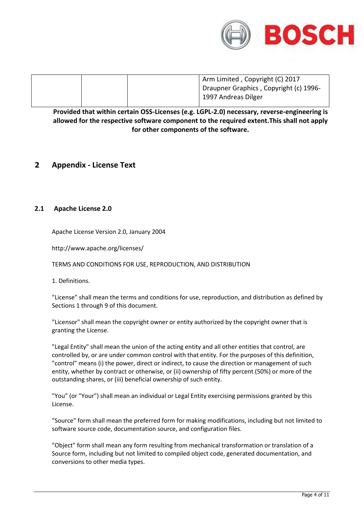

| Arm Limited, Copyright (C) 2017        |
|----------------------------------------|
| Draupner Graphics, Copyright (c) 1996- |
| 1997 Andreas Dilger                    |

**Provided that within certain OSS-Licenses (e.g. LGPL-2.0) necessary, reverse-engineering is allowed for the respective software component to the required extent.This shall not apply for other components of the software.**

## <span id="page-3-0"></span>**2 Appendix - License Text**

### <span id="page-3-1"></span>**2.1 Apache License 2.0**

Apache License Version 2.0, January 2004

http://www.apache.org/licenses/

TERMS AND CONDITIONS FOR USE, REPRODUCTION, AND DISTRIBUTION

1. Definitions.

"License" shall mean the terms and conditions for use, reproduction, and distribution as defined by Sections 1 through 9 of this document.

"Licensor" shall mean the copyright owner or entity authorized by the copyright owner that is granting the License.

"Legal Entity" shall mean the union of the acting entity and all other entities that control, are controlled by, or are under common control with that entity. For the purposes of this definition, "control" means (i) the power, direct or indirect, to cause the direction or management of such entity, whether by contract or otherwise, or (ii) ownership of fifty percent (50%) or more of the outstanding shares, or (iii) beneficial ownership of such entity.

"You" (or "Your") shall mean an individual or Legal Entity exercising permissions granted by this License.

"Source" form shall mean the preferred form for making modifications, including but not limited to software source code, documentation source, and configuration files.

"Object" form shall mean any form resulting from mechanical transformation or translation of a Source form, including but not limited to compiled object code, generated documentation, and conversions to other media types.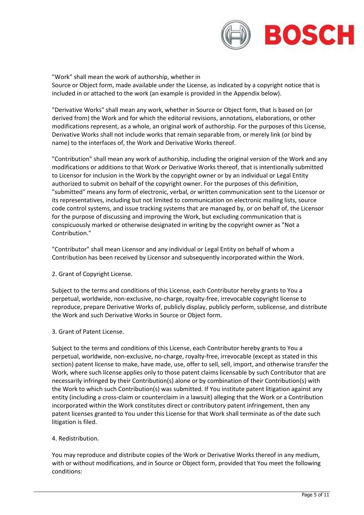

"Work" shall mean the work of authorship, whether in Source or Object form, made available under the License, as indicated by a copyright notice that is included in or attached to the work (an example is provided in the Appendix below).

"Derivative Works" shall mean any work, whether in Source or Object form, that is based on (or derived from) the Work and for which the editorial revisions, annotations, elaborations, or other modifications represent, as a whole, an original work of authorship. For the purposes of this License, Derivative Works shall not include works that remain separable from, or merely link (or bind by name) to the interfaces of, the Work and Derivative Works thereof.

"Contribution" shall mean any work of authorship, including the original version of the Work and any modifications or additions to that Work or Derivative Works thereof, that is intentionally submitted to Licensor for inclusion in the Work by the copyright owner or by an individual or Legal Entity authorized to submit on behalf of the copyright owner. For the purposes of this definition, "submitted" means any form of electronic, verbal, or written communication sent to the Licensor or its representatives, including but not limited to communication on electronic mailing lists, source code control systems, and issue tracking systems that are managed by, or on behalf of, the Licensor for the purpose of discussing and improving the Work, but excluding communication that is conspicuously marked or otherwise designated in writing by the copyright owner as "Not a Contribution."

"Contributor" shall mean Licensor and any individual or Legal Entity on behalf of whom a Contribution has been received by Licensor and subsequently incorporated within the Work.

#### 2. Grant of Copyright License.

Subject to the terms and conditions of this License, each Contributor hereby grants to You a perpetual, worldwide, non-exclusive, no-charge, royalty-free, irrevocable copyright license to reproduce, prepare Derivative Works of, publicly display, publicly perform, sublicense, and distribute the Work and such Derivative Works in Source or Object form.

#### 3. Grant of Patent License.

Subject to the terms and conditions of this License, each Contributor hereby grants to You a perpetual, worldwide, non-exclusive, no-charge, royalty-free, irrevocable (except as stated in this section) patent license to make, have made, use, offer to sell, sell, import, and otherwise transfer the Work, where such license applies only to those patent claims licensable by such Contributor that are necessarily infringed by their Contribution(s) alone or by combination of their Contribution(s) with the Work to which such Contribution(s) was submitted. If You institute patent litigation against any entity (including a cross-claim or counterclaim in a lawsuit) alleging that the Work or a Contribution incorporated within the Work constitutes direct or contributory patent infringement, then any patent licenses granted to You under this License for that Work shall terminate as of the date such litigation is filed.

#### 4. Redistribution.

You may reproduce and distribute copies of the Work or Derivative Works thereof in any medium, with or without modifications, and in Source or Object form, provided that You meet the following conditions: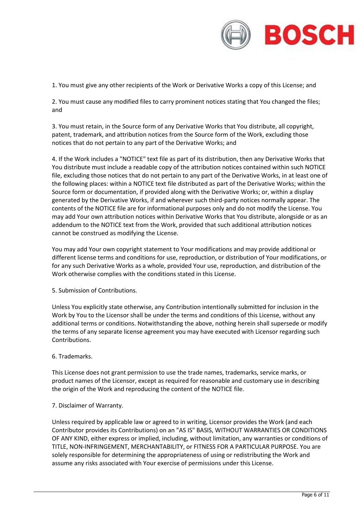

1. You must give any other recipients of the Work or Derivative Works a copy of this License; and

2. You must cause any modified files to carry prominent notices stating that You changed the files; and

3. You must retain, in the Source form of any Derivative Works that You distribute, all copyright, patent, trademark, and attribution notices from the Source form of the Work, excluding those notices that do not pertain to any part of the Derivative Works; and

4. If the Work includes a "NOTICE" text file as part of its distribution, then any Derivative Works that You distribute must include a readable copy of the attribution notices contained within such NOTICE file, excluding those notices that do not pertain to any part of the Derivative Works, in at least one of the following places: within a NOTICE text file distributed as part of the Derivative Works; within the Source form or documentation, if provided along with the Derivative Works; or, within a display generated by the Derivative Works, if and wherever such third-party notices normally appear. The contents of the NOTICE file are for informational purposes only and do not modify the License. You may add Your own attribution notices within Derivative Works that You distribute, alongside or as an addendum to the NOTICE text from the Work, provided that such additional attribution notices cannot be construed as modifying the License.

You may add Your own copyright statement to Your modifications and may provide additional or different license terms and conditions for use, reproduction, or distribution of Your modifications, or for any such Derivative Works as a whole, provided Your use, reproduction, and distribution of the Work otherwise complies with the conditions stated in this License.

5. Submission of Contributions.

Unless You explicitly state otherwise, any Contribution intentionally submitted for inclusion in the Work by You to the Licensor shall be under the terms and conditions of this License, without any additional terms or conditions. Notwithstanding the above, nothing herein shall supersede or modify the terms of any separate license agreement you may have executed with Licensor regarding such Contributions.

#### 6. Trademarks.

This License does not grant permission to use the trade names, trademarks, service marks, or product names of the Licensor, except as required for reasonable and customary use in describing the origin of the Work and reproducing the content of the NOTICE file.

#### 7. Disclaimer of Warranty.

Unless required by applicable law or agreed to in writing, Licensor provides the Work (and each Contributor provides its Contributions) on an "AS IS" BASIS, WITHOUT WARRANTIES OR CONDITIONS OF ANY KIND, either express or implied, including, without limitation, any warranties or conditions of TITLE, NON-INFRINGEMENT, MERCHANTABILITY, or FITNESS FOR A PARTICULAR PURPOSE. You are solely responsible for determining the appropriateness of using or redistributing the Work and assume any risks associated with Your exercise of permissions under this License.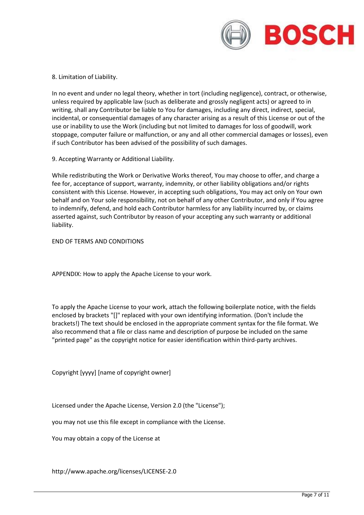

8. Limitation of Liability.

In no event and under no legal theory, whether in tort (including negligence), contract, or otherwise, unless required by applicable law (such as deliberate and grossly negligent acts) or agreed to in writing, shall any Contributor be liable to You for damages, including any direct, indirect, special, incidental, or consequential damages of any character arising as a result of this License or out of the use or inability to use the Work (including but not limited to damages for loss of goodwill, work stoppage, computer failure or malfunction, or any and all other commercial damages or losses), even if such Contributor has been advised of the possibility of such damages.

9. Accepting Warranty or Additional Liability.

While redistributing the Work or Derivative Works thereof, You may choose to offer, and charge a fee for, acceptance of support, warranty, indemnity, or other liability obligations and/or rights consistent with this License. However, in accepting such obligations, You may act only on Your own behalf and on Your sole responsibility, not on behalf of any other Contributor, and only if You agree to indemnify, defend, and hold each Contributor harmless for any liability incurred by, or claims asserted against, such Contributor by reason of your accepting any such warranty or additional liability.

END OF TERMS AND CONDITIONS

APPENDIX: How to apply the Apache License to your work.

To apply the Apache License to your work, attach the following boilerplate notice, with the fields enclosed by brackets "[]" replaced with your own identifying information. (Don't include the brackets!) The text should be enclosed in the appropriate comment syntax for the file format. We also recommend that a file or class name and description of purpose be included on the same "printed page" as the copyright notice for easier identification within third-party archives.

Copyright [yyyy] [name of copyright owner]

Licensed under the Apache License, Version 2.0 (the "License");

you may not use this file except in compliance with the License.

You may obtain a copy of the License at

http://www.apache.org/licenses/LICENSE-2.0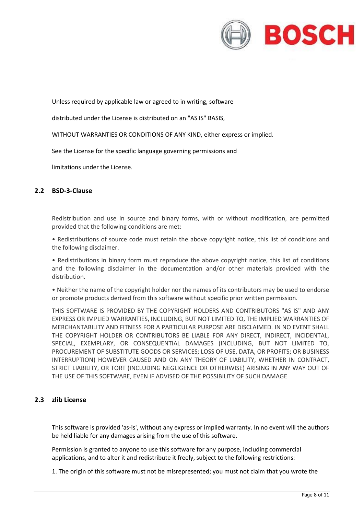

Unless required by applicable law or agreed to in writing, software

distributed under the License is distributed on an "AS IS" BASIS,

WITHOUT WARRANTIES OR CONDITIONS OF ANY KIND, either express or implied.

See the License for the specific language governing permissions and

limitations under the License.

#### <span id="page-7-0"></span>**2.2 BSD-3-Clause**

Redistribution and use in source and binary forms, with or without modification, are permitted provided that the following conditions are met:

• Redistributions of source code must retain the above copyright notice, this list of conditions and the following disclaimer.

• Redistributions in binary form must reproduce the above copyright notice, this list of conditions and the following disclaimer in the documentation and/or other materials provided with the distribution.

• Neither the name of the copyright holder nor the names of its contributors may be used to endorse or promote products derived from this software without specific prior written permission.

THIS SOFTWARE IS PROVIDED BY THE COPYRIGHT HOLDERS AND CONTRIBUTORS "AS IS" AND ANY EXPRESS OR IMPLIED WARRANTIES, INCLUDING, BUT NOT LIMITED TO, THE IMPLIED WARRANTIES OF MERCHANTABILITY AND FITNESS FOR A PARTICULAR PURPOSE ARE DISCLAIMED. IN NO EVENT SHALL THE COPYRIGHT HOLDER OR CONTRIBUTORS BE LIABLE FOR ANY DIRECT, INDIRECT, INCIDENTAL, SPECIAL, EXEMPLARY, OR CONSEQUENTIAL DAMAGES (INCLUDING, BUT NOT LIMITED TO, PROCUREMENT OF SUBSTITUTE GOODS OR SERVICES; LOSS OF USE, DATA, OR PROFITS; OR BUSINESS INTERRUPTION) HOWEVER CAUSED AND ON ANY THEORY OF LIABILITY, WHETHER IN CONTRACT, STRICT LIABILITY, OR TORT (INCLUDING NEGLIGENCE OR OTHERWISE) ARISING IN ANY WAY OUT OF THE USE OF THIS SOFTWARE, EVEN IF ADVISED OF THE POSSIBILITY OF SUCH DAMAGE

#### <span id="page-7-1"></span>**2.3 zlib License**

This software is provided 'as-is', without any express or implied warranty. In no event will the authors be held liable for any damages arising from the use of this software.

Permission is granted to anyone to use this software for any purpose, including commercial applications, and to alter it and redistribute it freely, subject to the following restrictions:

1. The origin of this software must not be misrepresented; you must not claim that you wrote the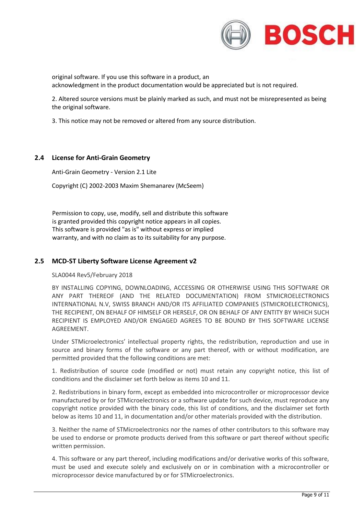

original software. If you use this software in a product, an acknowledgment in the product documentation would be appreciated but is not required.

2. Altered source versions must be plainly marked as such, and must not be misrepresented as being the original software.

3. This notice may not be removed or altered from any source distribution.

### <span id="page-8-0"></span>**2.4 License for Anti-Grain Geometry**

Anti-Grain Geometry - Version 2.1 Lite

Copyright (C) 2002-2003 Maxim Shemanarev (McSeem)

Permission to copy, use, modify, sell and distribute this software is granted provided this copyright notice appears in all copies. This software is provided "as is" without express or implied warranty, and with no claim as to its suitability for any purpose.

#### <span id="page-8-1"></span>**2.5 MCD-ST Liberty Software License Agreement v2**

#### SLA0044 Rev5/February 2018

BY INSTALLING COPYING, DOWNLOADING, ACCESSING OR OTHERWISE USING THIS SOFTWARE OR ANY PART THEREOF (AND THE RELATED DOCUMENTATION) FROM STMICROELECTRONICS INTERNATIONAL N.V, SWISS BRANCH AND/OR ITS AFFILIATED COMPANIES (STMICROELECTRONICS), THE RECIPIENT, ON BEHALF OF HIMSELF OR HERSELF, OR ON BEHALF OF ANY ENTITY BY WHICH SUCH RECIPIENT IS EMPLOYED AND/OR ENGAGED AGREES TO BE BOUND BY THIS SOFTWARE LICENSE AGREEMENT.

Under STMicroelectronics' intellectual property rights, the redistribution, reproduction and use in source and binary forms of the software or any part thereof, with or without modification, are permitted provided that the following conditions are met:

1. Redistribution of source code (modified or not) must retain any copyright notice, this list of conditions and the disclaimer set forth below as items 10 and 11.

2. Redistributions in binary form, except as embedded into microcontroller or microprocessor device manufactured by or for STMicroelectronics or a software update for such device, must reproduce any copyright notice provided with the binary code, this list of conditions, and the disclaimer set forth below as items 10 and 11, in documentation and/or other materials provided with the distribution.

3. Neither the name of STMicroelectronics nor the names of other contributors to this software may be used to endorse or promote products derived from this software or part thereof without specific written permission.

4. This software or any part thereof, including modifications and/or derivative works of this software, must be used and execute solely and exclusively on or in combination with a microcontroller or microprocessor device manufactured by or for STMicroelectronics.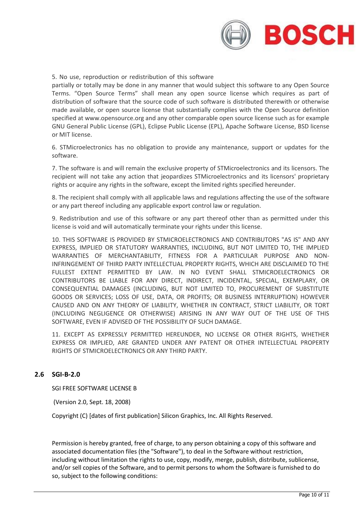

#### 5. No use, reproduction or redistribution of this software

partially or totally may be done in any manner that would subject this software to any Open Source Terms. "Open Source Terms" shall mean any open source license which requires as part of distribution of software that the source code of such software is distributed therewith or otherwise made available, or open source license that substantially complies with the Open Source definition specified at www.opensource.org and any other comparable open source license such as for example GNU General Public License (GPL), Eclipse Public License (EPL), Apache Software License, BSD license or MIT license.

6. STMicroelectronics has no obligation to provide any maintenance, support or updates for the software.

7. The software is and will remain the exclusive property of STMicroelectronics and its licensors. The recipient will not take any action that jeopardizes STMicroelectronics and its licensors' proprietary rights or acquire any rights in the software, except the limited rights specified hereunder.

8. The recipient shall comply with all applicable laws and regulations affecting the use of the software or any part thereof including any applicable export control law or regulation.

9. Redistribution and use of this software or any part thereof other than as permitted under this license is void and will automatically terminate your rights under this license.

10. THIS SOFTWARE IS PROVIDED BY STMICROELECTRONICS AND CONTRIBUTORS "AS IS" AND ANY EXPRESS, IMPLIED OR STATUTORY WARRANTIES, INCLUDING, BUT NOT LIMITED TO, THE IMPLIED WARRANTIES OF MERCHANTABILITY, FITNESS FOR A PARTICULAR PURPOSE AND NON-INFRINGEMENT OF THIRD PARTY INTELLECTUAL PROPERTY RIGHTS, WHICH ARE DISCLAIMED TO THE FULLEST EXTENT PERMITTED BY LAW. IN NO EVENT SHALL STMICROELECTRONICS OR CONTRIBUTORS BE LIABLE FOR ANY DIRECT, INDIRECT, INCIDENTAL, SPECIAL, EXEMPLARY, OR CONSEQUENTIAL DAMAGES (INCLUDING, BUT NOT LIMITED TO, PROCUREMENT OF SUBSTITUTE GOODS OR SERVICES; LOSS OF USE, DATA, OR PROFITS; OR BUSINESS INTERRUPTION) HOWEVER CAUSED AND ON ANY THEORY OF LIABILITY, WHETHER IN CONTRACT, STRICT LIABILITY, OR TORT (INCLUDING NEGLIGENCE OR OTHERWISE) ARISING IN ANY WAY OUT OF THE USE OF THIS SOFTWARE, EVEN IF ADVISED OF THE POSSIBILITY OF SUCH DAMAGE.

11. EXCEPT AS EXPRESSLY PERMITTED HEREUNDER, NO LICENSE OR OTHER RIGHTS, WHETHER EXPRESS OR IMPLIED, ARE GRANTED UNDER ANY PATENT OR OTHER INTELLECTUAL PROPERTY RIGHTS OF STMICROELECTRONICS OR ANY THIRD PARTY.

#### <span id="page-9-0"></span>**2.6 SGI-B-2.0**

SGI FREE SOFTWARE LICENSE B

(Version 2.0, Sept. 18, 2008)

Copyright (C) [dates of first publication] Silicon Graphics, Inc. All Rights Reserved.

Permission is hereby granted, free of charge, to any person obtaining a copy of this software and associated documentation files (the "Software"), to deal in the Software without restriction, including without limitation the rights to use, copy, modify, merge, publish, distribute, sublicense, and/or sell copies of the Software, and to permit persons to whom the Software is furnished to do so, subject to the following conditions: